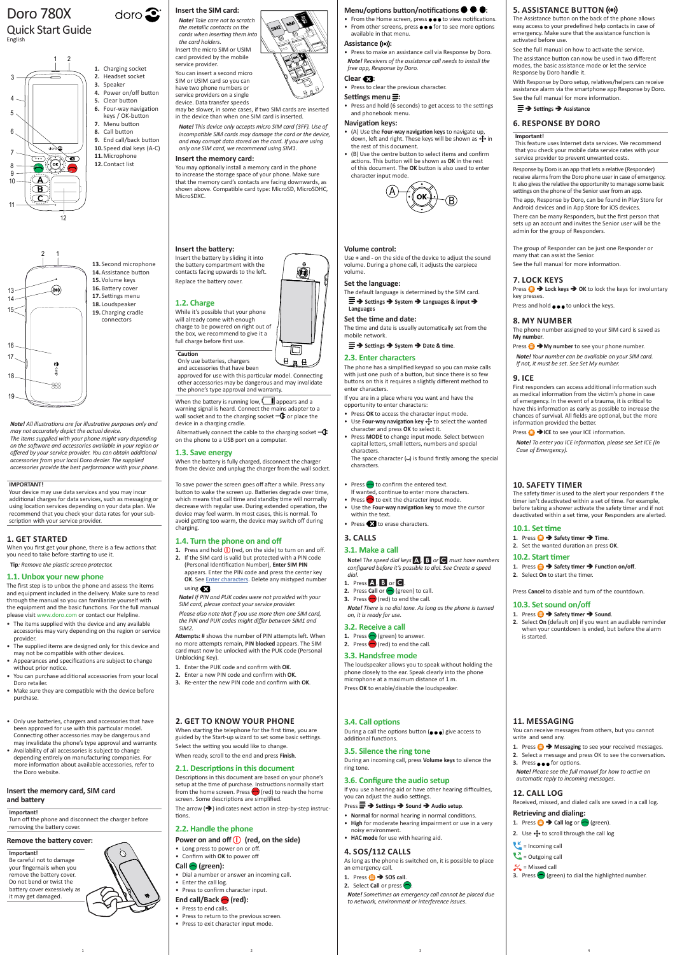*Note! All illustrations are for illustrative purposes only and may not accurately depict the actual device. The items supplied with your phone might vary depending on the software and accessories available in your region or offered by your service provider. You can obtain additional* 

*accessories from your local Doro dealer. The supplied accessories provide the best performance with your phone.*

**2. GET TO KNOW YOUR PHONE**

## Menu/options button/notifications  $\bullet \bullet$ :

The arrow  $(\rightarrow)$  indicates next action in step-by-step instructions.

When starting the telephone for the first time, you are guided by the Start-up wizard to set some basic settings. Select the setting you would like to change. When ready, scroll to the end and press **Finish**.

# **2.1. Descriptions in this document**

During a call the options button  $(\bullet\bullet\bullet)$  give access to additional functions.

Descriptions in this document are based on your phone's setup at the time of purchase. Instructions normally start from the home screen. Press  $\bigcirc$  (red) to reach the home screen. Some descriptions are simplified.

- $\text{Press} \equiv \rightarrow \text{Setting} \rightarrow \text{Sound} \rightarrow \text{Audio setup}.$
- **Normal** for normal hearing in normal conditions.
- **High** for moderate hearing impairment or use in a very noisy environment.
- **HAC mode** for use with hearing aid.

# **2.2. Handle the phone**

# **Power on and off (1)** (red, on the side)

- Long press to power on or off.
- Confirm with **OK** to power off

# **Call (green):**

- Dial a number or answer an incoming call.
- Enter the call log.
- Press to confirm character input.

# End call/Back **(red)**:

- Press to end calls.
- Press to return to the previous screen.
- Press to exit character input mode.

# **3.4. Call options**

# **3.5. Silence the ring tone**

During an incoming call, press **Volume keys** to silence the ring tone.

# **3.6. Configure the audio setup**

If you use a hearing aid or have other hearing difficulties, you can adjust the audio settings.

 $H \n  $H$$ Only use batteries, chargers and accessories that have been

# **4. SOS/112 CALLS**

As long as the phone is switched on, it is possible to place an emergency call.

- 1. Press  $\bigoplus$   $\rightarrow$  **SOS call**.
- **2.** Select **Call** or press  $\bigcirc$

When the battery is running low,  $\Box$  appears and a warning signal is heard. Connect the mains adapter to a wall socket and to the charging socket  $-\mathbf{C}$  or place the device in a charging cradle.

Alternatively connect the cable to the charging socket  $-\mathbf{G}$ on the phone to a USB port on a computer.

> *Note! Sometimes an emergency call cannot be placed due to network, environment or interference issues.*

# Doro 780X

## Quick Start Guide English

# **Insert the SIM card:**

*Note! Take care not to scratch the metallic contacts on the cards when inserting them into the card holders.* Insert the micro SIM or USIM card provided by the mobile service provider. You can insert a second micro SIM or USIM card so you can

**1.** Press and hold  $\bigcirc$  (red, on the side) to turn on and off. **2.** If the SIM card is valid but protected with a PIN code (Personal Identification Number), **Enter SIM PIN**

have two phone numbers or service providers on a single device. Data transfer speeds

may be slower, in some cases, if two SIM cards are inserted in the device than when one SIM card is inserted.

*Note! This device only accepts micro SIM card (3FF). Use of incompatible SIM cards may damage the card or the device, and may corrupt data stored on the card. If you are using only one SIM card, we recommend using SIM1.*

• From the Home screen, press  $\bullet \bullet \bullet$  to view notifications. • From other screens, press  $\bullet \bullet \bullet$  for to see more options available in that menu.

## Assistance (( $\bullet$ ):

## *free app, Response by Doro.* Clear **&3**:

## **Insert the memory card:**

You may optionally install a memory card in the phone to increase the storage space of your phone. Make sure that the memory card's contacts are facing downwards, as shown above. Compatible card type: MicroSD, MicroSDHC, MicroSDXC.

## **Insert the battery:**

The default language is determined by the SIM card.  $\equiv$   $\rightarrow$  Settings  $\rightarrow$  System  $\rightarrow$  Languages & input  $\rightarrow$ 

Insert the battery by sliding it into the battery compartment with the contacts facing upwards to the left. Replace the battery cover.

## **1.2. Charge**

While it's possible that your phone will already come with enough charge to be powered on right out of the box, we recommend to give it a full charge before first use.

# **Caution**

approved for use with this particular model. Connecting other accessories may be dangerous and may invalidate the phone's type approval and warranty.

## **1.3. Save energy**

When the battery is fully charged, disconnect the charger from the device and unplug the charger from the wall socket.

To save power the screen goes off after a while. Press any button to wake the screen up. Batteries degrade over time, which means that call time and standby time will normally decrease with regular use. During extended operation, the device may feel warm. In most cases, this is normal. To avoid getting too warm, the device may switch off during charging.

## **1.4. Turn the phone on and off**

appears. Enter the PIN code and press the center key **OK**. See Enter characters. Delete any mistyped number

# using  $\mathbf{Z}$ .

*Note! If PIN and PUK codes were not provided with your SIM card, please contact your service provider.*

Press **<b>** $\oplus$  **→ My number** to see your phone number. *Note! Your number can be available on your SIM card.*

*Please also note that if you use more than one SIM card, the PIN and PUK codes might differ between SIM1 and SIM2.*

**Attempts: #** shows the number of PIN attempts left. When no more attempts remain, **PIN blocked** appears. The SIM card must now be unlocked with the PUK code (Personal Unblocking Key).

- **1.** Enter the PUK code and confirm with **OK**.
- **2.** Enter a new PIN code and confirm with **OK**.
- **3.** Re-enter the new PIN code and confirm with **OK**.

1. Press  $\bigoplus$   $\rightarrow$  Safety timer  $\rightarrow$  Time. **2.** Set the wanted duration an press **OK**.

**10.3. Set sound on/off** 1. Press  $\bigoplus$  > Safety timer  $\rightarrow$  Sound.

1. Press  $\bigoplus$  > Safety timer  $\rightarrow$  Function on/off.

• Press to make an assistance call via Response by Doro. *Note! Receivers of the assistance call needs to install the* 

• Press to clear the previous character.

## Settings menu<sup> $\equiv$ </sup>:

• Press and hold (6 seconds) to get access to the settings and phonebook menu.

## **Navigation keys:**

- (A) Use the **Four-way navigation keys** to navigate up, down, left and right. These keys will be shown as  $\bigoplus$  in the rest of this document.
- (B) Use the centre button to select items and confirm actions. This button will be shown as **OK** in the rest of this document. The **OK** button is also used to enter character input mode.



## **Volume control:**

- Only use batteries, chargers and accessories that hav been approved for use with this particular model. Connecting other accessories may be dangerous and may invalidate the phone's type approval and warranty.
- Availability of all accessories is subject to change depending entirely on manufacturing companies. For more information about available accessories, refer to the Doro website.

Use **+** and **-** on the side of the device to adjust the sound volume. During a phone call, it adjusts the earpiece volume.

## **Set the language:**

O

 $\Box$ 

# **Languages**

**Set the time and date:** The time and date is usually automatically set from the mobile network.

 $\equiv$  $\rightarrow$  Settings  $\rightarrow$  System  $\rightarrow$  Date & time.

## **2.3. Enter characters**

The phone has a simplified keypad so you can make calls with just one push of a button, but since there is so few buttons on this it requires a slightly different method to enter characters.

If you are in a place where you want and have the opportunity to enter characters:

- Press **OK** to access the character input mode.
- Use **Four-way navigation key** to select the wanted character and press **OK** to select it.
- Press **MODE** to change input mode. Select between capital letters, small letters, numbers and special characters.

- The items supplied with the device and any available accessories may vary depending on the region or service provider.
- The supplied items are designed only for this device and may not be compatible with other devices.
- Appearances and specifications are subject to change without prior notice.
- You can purchase additional accessories from your local Doro retailer.
- Make sure they are compatible with the device before purchase.

The space character (**˽**) is found firstly among the special characters.

- Press  $\bigcirc$  to confirm the entered text.
- If wanted, continue to enter more characters.
- Press  $\bigcirc$  to exit the character input mode. • Use the **Four-way navigation key** to move the cursor
- within the text. • Press **to** to erase characters.

# **3. CALLS**

## **3.1. Make a call**

**Note!** *The speed dial keys* A*,* B *or* C *must have numbers configured before it's possible to dial. See Create a speed dial.*

# **1.** Press A, B or C.

- **2.** Press **Call** or  $\bigcirc$  (green) to call.
- **3.** Press  $\bigcirc$  (red) to end the call.

*Note! There is no dial tone. As long as the phone is turned on, it is ready for use.*

## **3.2. Receive a call**

- 1. Press **(exercise**) to answer.
- **2.** Press  $\bigcirc$  (red) to end the call.

## **3.3. Handsfree mode**

The loudspeaker allows you to speak without holding the phone closely to the ear. Speak clearly into the phone microphone at a maximum distance of 1 m. Press **OK** to enable/disable the loudspeaker.

# **5. ASSISTANCE BUTTON**

The Assistance button on the back of the phone allows easy access to your predefined help contacts in case of emergency. Make sure that the assistance function is activated before use.

See the full manual on how to activate the service. The assistance button can now be used in two different modes, the basic assistance mode or let the service Response by Doro handle it.

With Response by Doro setup, relatives/helpers can receive assistance alarm via the smartphone app Response by Doro. See the full manual for more information.

## **Settings Assistance**

# **6. RESPONSE BY DORO**

## **Important!**

This feature uses Internet data services. We recommend that you check your mobile data service rates with your

service provider to prevent unwanted costs.

Response by Doro is an app that lets a relative (Responder) receive alarms from the Doro phone user in case of emergency. It also gives the relative the opportunity to manage some basic settings on the phone of the Senior user from an app. The app, Response by Doro, can be found in Play Store for Android devices and in App Store for iOS devices. There can be many Responders, but the first person that sets up an account and invites the Senior user will be the

admin for the group of Responders.

The group of Responder can be just one Responder or

Press **<b>a** → Lock keys → OK to lock the keys for involuntary

many that can assist the Senior.

See the full manual for more information.

Press and hold  $\bullet \bullet \bullet$  to unlock the keys.

**7. LOCK KEYS**

key presses.

**8. MY NUMBER**

The phone number assigned to your SIM card is saved as

**My number**.

*If not, it must be set. See Set My number.*

Press **ID**  $\rightarrow$  ICE to see your ICE information.

**9. ICE**

First responders can access additional information such as medical information from the victim's phone in case of emergency. In the event of a trauma, it is critical to have this information as early as possible to increase the chances of survival. All fields are optional, but the more

information provided the better.

*Note! To enter you ICE information, please see Set ICE (In* 

*Case of Emergency).*

**10. SAFETY TIMER**

The safety timer is used to the alert your responders if the timer isn't deactivated within a set of time. For example, before taking a shower activate the safety timer and if not deactivated within a set time, your Responders are alerted.

**10.1. Set time**

**10.2. Start timer**

**2.** Select **On** to start the timer.

Press **Cancel** to disable and turn of the countdown.

**2.** Select **On** (default on) if you want an audiable reminder when your countdown is ended, but before the alarm

is started.

## **11. MESSAGING**

You can receive messages from others, but you cannot write and send any.

- 1. Press  $\bigoplus$  **Messaging** to see your received messages.
- **2.** Select a message and press OK to see the conversation.
- **3.** Press **e e** for options.

*Note! Please see the full manual for how to active an automatic reply to incoming messages.*

# **12. CALL LOG**

Received, missed, and dialed calls are saved in a call log.

# **Retrieving and dialing:**

**1.** Press  $\bigoplus$   $\rightarrow$  **Call log** or  $\bigodot$  (green).

- **2.** Use  $\bigoplus$  to scroll through the call log
- $\epsilon$  = Incoming call
- $\bigcup_{n=1}^{\infty}$  = Outgoing call
- $\sim$  = Missed call
- **3.** Press **(exect)** to dial the highlighted number.

1 and  $\begin{array}{ccc} 1 & 3 & 4 \end{array}$ 





17 **12.**Contact list **5.** Clear button<br>**6.** Four-way navigation 16 **10.**Speed dial keys (A-C) 4. Power onyor<br>**5.** Clear button keys / OK-button **1.** Charging socket **2.** Headset socket **3.** Speaker **4.** Power on/off button **7.** Menu button **8.** Call button **9.** End call/back button **11.**Microphone

doro $\mathbf{\Omega}$ 

## **Insert the memory card, SIM card and battery**

## **Important!**

Turn off the phone and disconnect the charger before removing the battery cover.

# **Remove the battery cover:**

## **Important!**

Be careful not to damage your fingernails when you remove the battery cover. Do not bend or twist the battery cover excessively as it may get damaged.

## **IMPORTANT!**

Your device may use data services and you may incur additional charges for data services, such as messaging or using location services depending on your data plan. We recommend that you check your data rates for your subscription with your service provider.

## **1. GET STARTED**

When you first get your phone, there is a few actions that you need to take before starting to use it.

**Tip***: Remove the plastic screen protector.*

## **1.1. Unbox your new phone**

The first step is to unbox the phone and assess the items and equipment included in the delivery. Make sure to read through the manual so you can familiarize yourself with the equipment and the basic functions. For the full manual please visit www.doro.com or contact our Helpline.